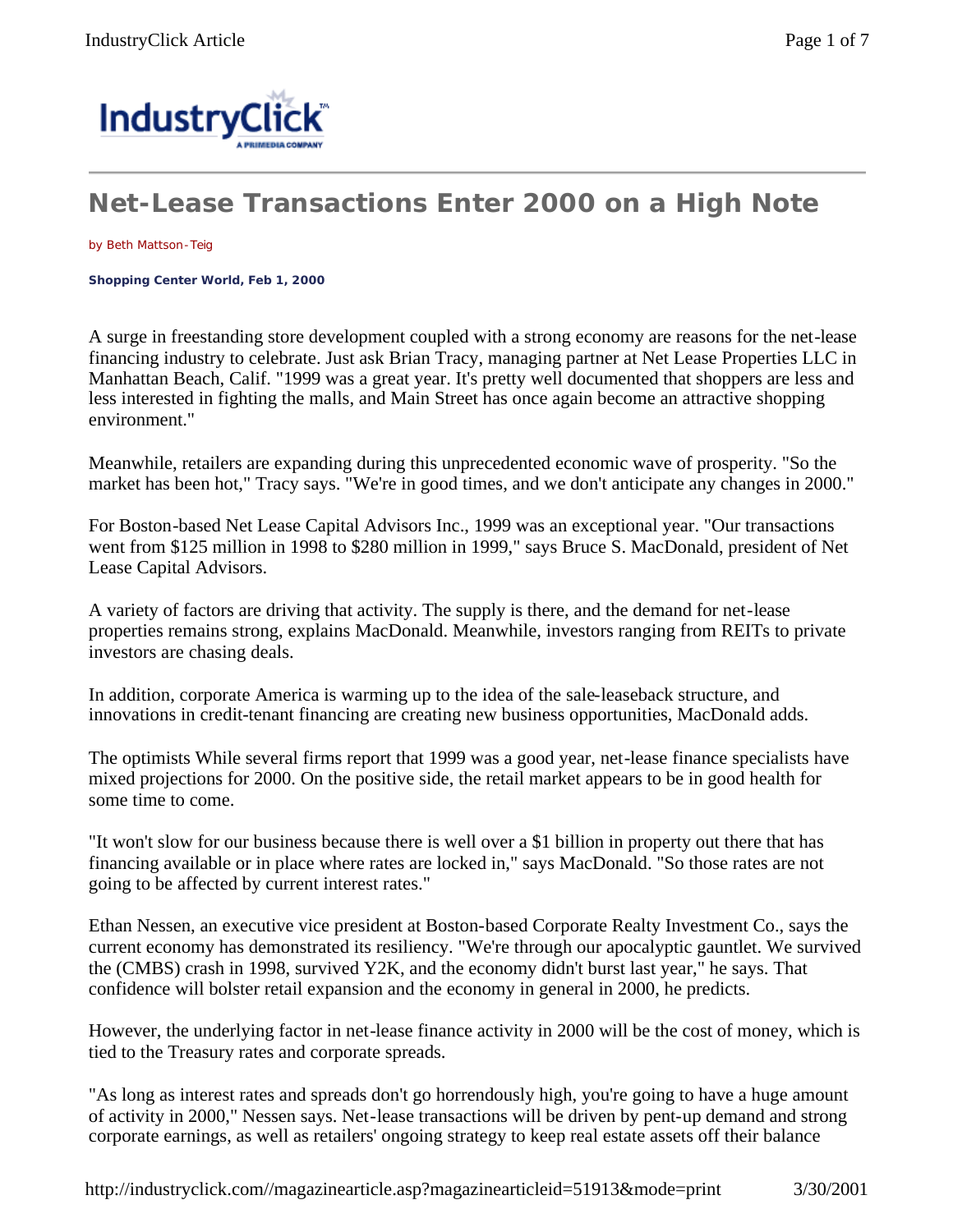

## **Net-Lease Transactions Enter 2000 on a High Note**

by Beth Mattson-Teig

**Shopping Center World, Feb 1, 2000** 

A surge in freestanding store development coupled with a strong economy are reasons for the net-lease financing industry to celebrate. Just ask Brian Tracy, managing partner at Net Lease Properties LLC in Manhattan Beach, Calif. "1999 was a great year. It's pretty well documented that shoppers are less and less interested in fighting the malls, and Main Street has once again become an attractive shopping environment."

Meanwhile, retailers are expanding during this unprecedented economic wave of prosperity. "So the market has been hot," Tracy says. "We're in good times, and we don't anticipate any changes in 2000."

For Boston-based Net Lease Capital Advisors Inc., 1999 was an exceptional year. "Our transactions went from \$125 million in 1998 to \$280 million in 1999," says Bruce S. MacDonald, president of Net Lease Capital Advisors.

A variety of factors are driving that activity. The supply is there, and the demand for net-lease properties remains strong, explains MacDonald. Meanwhile, investors ranging from REITs to private investors are chasing deals.

In addition, corporate America is warming up to the idea of the sale-leaseback structure, and innovations in credit-tenant financing are creating new business opportunities, MacDonald adds.

The optimists While several firms report that 1999 was a good year, net-lease finance specialists have mixed projections for 2000. On the positive side, the retail market appears to be in good health for some time to come.

"It won't slow for our business because there is well over a \$1 billion in property out there that has financing available or in place where rates are locked in," says MacDonald. "So those rates are not going to be affected by current interest rates."

Ethan Nessen, an executive vice president at Boston-based Corporate Realty Investment Co., says the current economy has demonstrated its resiliency. "We're through our apocalyptic gauntlet. We survived the (CMBS) crash in 1998, survived Y2K, and the economy didn't burst last year," he says. That confidence will bolster retail expansion and the economy in general in 2000, he predicts.

However, the underlying factor in net-lease finance activity in 2000 will be the cost of money, which is tied to the Treasury rates and corporate spreads.

"As long as interest rates and spreads don't go horrendously high, you're going to have a huge amount of activity in 2000," Nessen says. Net-lease transactions will be driven by pent-up demand and strong corporate earnings, as well as retailers' ongoing strategy to keep real estate assets off their balance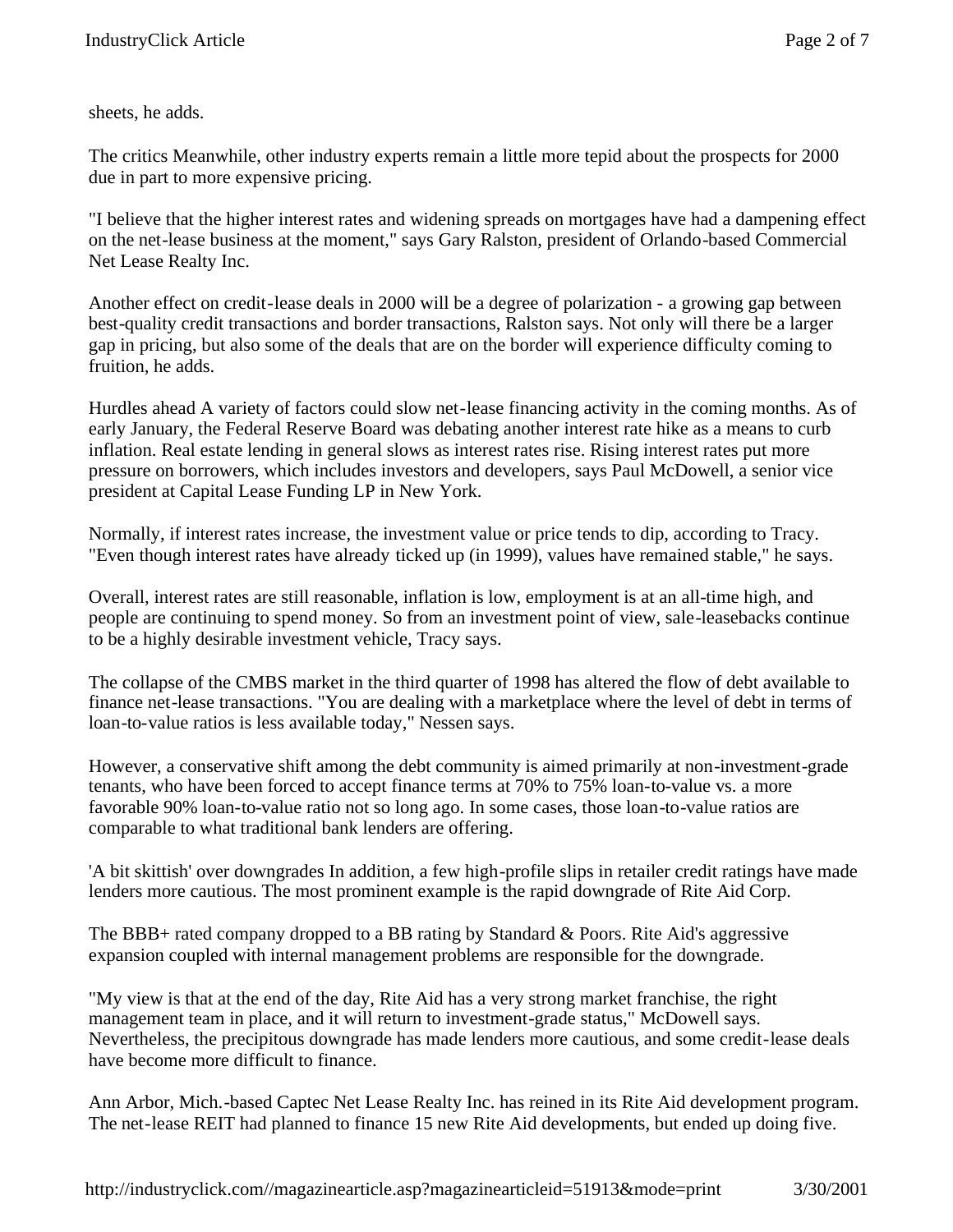sheets, he adds.

The critics Meanwhile, other industry experts remain a little more tepid about the prospects for 2000 due in part to more expensive pricing.

"I believe that the higher interest rates and widening spreads on mortgages have had a dampening effect on the net-lease business at the moment," says Gary Ralston, president of Orlando-based Commercial Net Lease Realty Inc.

Another effect on credit-lease deals in 2000 will be a degree of polarization - a growing gap between best-quality credit transactions and border transactions, Ralston says. Not only will there be a larger gap in pricing, but also some of the deals that are on the border will experience difficulty coming to fruition, he adds.

Hurdles ahead A variety of factors could slow net-lease financing activity in the coming months. As of early January, the Federal Reserve Board was debating another interest rate hike as a means to curb inflation. Real estate lending in general slows as interest rates rise. Rising interest rates put more pressure on borrowers, which includes investors and developers, says Paul McDowell, a senior vice president at Capital Lease Funding LP in New York.

Normally, if interest rates increase, the investment value or price tends to dip, according to Tracy. "Even though interest rates have already ticked up (in 1999), values have remained stable," he says.

Overall, interest rates are still reasonable, inflation is low, employment is at an all-time high, and people are continuing to spend money. So from an investment point of view, sale-leasebacks continue to be a highly desirable investment vehicle, Tracy says.

The collapse of the CMBS market in the third quarter of 1998 has altered the flow of debt available to finance net-lease transactions. "You are dealing with a marketplace where the level of debt in terms of loan-to-value ratios is less available today," Nessen says.

However, a conservative shift among the debt community is aimed primarily at non-investment-grade tenants, who have been forced to accept finance terms at 70% to 75% loan-to-value vs. a more favorable 90% loan-to-value ratio not so long ago. In some cases, those loan-to-value ratios are comparable to what traditional bank lenders are offering.

'A bit skittish' over downgrades In addition, a few high-profile slips in retailer credit ratings have made lenders more cautious. The most prominent example is the rapid downgrade of Rite Aid Corp.

The BBB+ rated company dropped to a BB rating by Standard & Poors. Rite Aid's aggressive expansion coupled with internal management problems are responsible for the downgrade.

"My view is that at the end of the day, Rite Aid has a very strong market franchise, the right management team in place, and it will return to investment-grade status," McDowell says. Nevertheless, the precipitous downgrade has made lenders more cautious, and some credit-lease deals have become more difficult to finance.

Ann Arbor, Mich.-based Captec Net Lease Realty Inc. has reined in its Rite Aid development program. The net-lease REIT had planned to finance 15 new Rite Aid developments, but ended up doing five.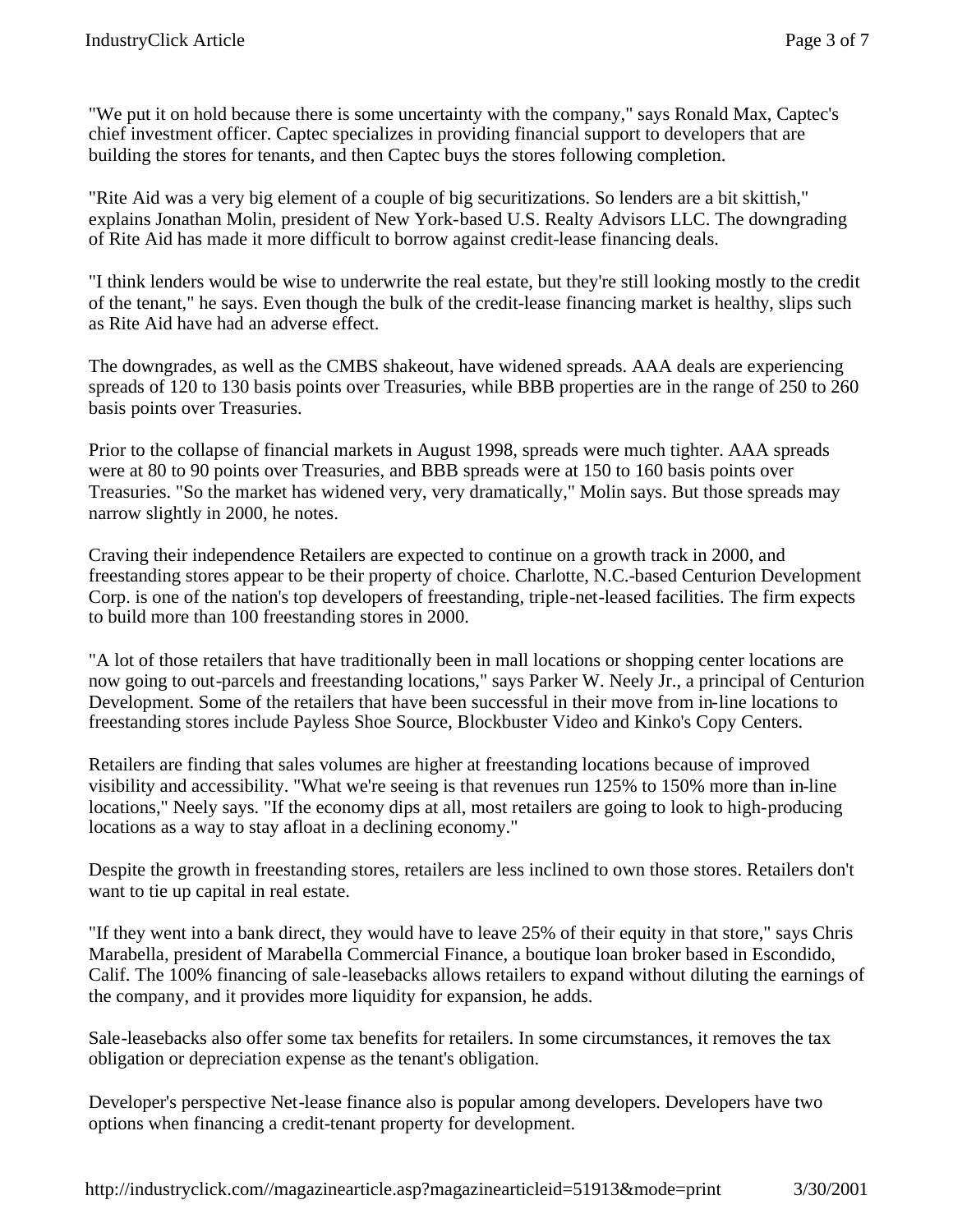"We put it on hold because there is some uncertainty with the company," says Ronald Max, Captec's chief investment officer. Captec specializes in providing financial support to developers that are building the stores for tenants, and then Captec buys the stores following completion.

"Rite Aid was a very big element of a couple of big securitizations. So lenders are a bit skittish," explains Jonathan Molin, president of New York-based U.S. Realty Advisors LLC. The downgrading of Rite Aid has made it more difficult to borrow against credit-lease financing deals.

"I think lenders would be wise to underwrite the real estate, but they're still looking mostly to the credit of the tenant," he says. Even though the bulk of the credit-lease financing market is healthy, slips such as Rite Aid have had an adverse effect.

The downgrades, as well as the CMBS shakeout, have widened spreads. AAA deals are experiencing spreads of 120 to 130 basis points over Treasuries, while BBB properties are in the range of 250 to 260 basis points over Treasuries.

Prior to the collapse of financial markets in August 1998, spreads were much tighter. AAA spreads were at 80 to 90 points over Treasuries, and BBB spreads were at 150 to 160 basis points over Treasuries. "So the market has widened very, very dramatically," Molin says. But those spreads may narrow slightly in 2000, he notes.

Craving their independence Retailers are expected to continue on a growth track in 2000, and freestanding stores appear to be their property of choice. Charlotte, N.C.-based Centurion Development Corp. is one of the nation's top developers of freestanding, triple-net-leased facilities. The firm expects to build more than 100 freestanding stores in 2000.

"A lot of those retailers that have traditionally been in mall locations or shopping center locations are now going to out-parcels and freestanding locations," says Parker W. Neely Jr., a principal of Centurion Development. Some of the retailers that have been successful in their move from in-line locations to freestanding stores include Payless Shoe Source, Blockbuster Video and Kinko's Copy Centers.

Retailers are finding that sales volumes are higher at freestanding locations because of improved visibility and accessibility. "What we're seeing is that revenues run 125% to 150% more than in-line locations," Neely says. "If the economy dips at all, most retailers are going to look to high-producing locations as a way to stay afloat in a declining economy."

Despite the growth in freestanding stores, retailers are less inclined to own those stores. Retailers don't want to tie up capital in real estate.

"If they went into a bank direct, they would have to leave 25% of their equity in that store," says Chris Marabella, president of Marabella Commercial Finance, a boutique loan broker based in Escondido, Calif. The 100% financing of sale-leasebacks allows retailers to expand without diluting the earnings of the company, and it provides more liquidity for expansion, he adds.

Sale-leasebacks also offer some tax benefits for retailers. In some circumstances, it removes the tax obligation or depreciation expense as the tenant's obligation.

Developer's perspective Net-lease finance also is popular among developers. Developers have two options when financing a credit-tenant property for development.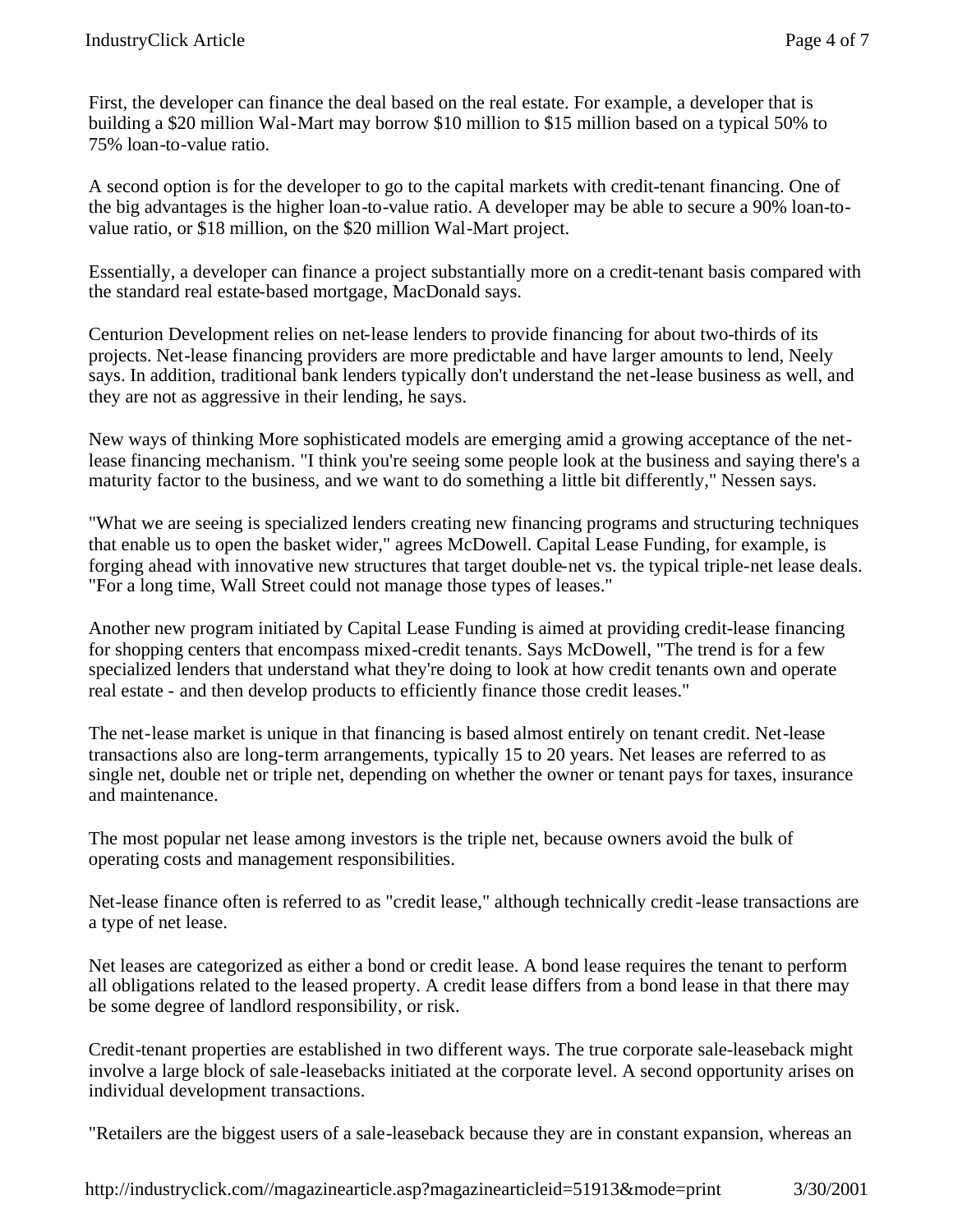First, the developer can finance the deal based on the real estate. For example, a developer that is building a \$20 million Wal-Mart may borrow \$10 million to \$15 million based on a typical 50% to 75% loan-to-value ratio.

A second option is for the developer to go to the capital markets with credit-tenant financing. One of the big advantages is the higher loan-to-value ratio. A developer may be able to secure a 90% loan-tovalue ratio, or \$18 million, on the \$20 million Wal-Mart project.

Essentially, a developer can finance a project substantially more on a credit-tenant basis compared with the standard real estate-based mortgage, MacDonald says.

Centurion Development relies on net-lease lenders to provide financing for about two-thirds of its projects. Net-lease financing providers are more predictable and have larger amounts to lend, Neely says. In addition, traditional bank lenders typically don't understand the net-lease business as well, and they are not as aggressive in their lending, he says.

New ways of thinking More sophisticated models are emerging amid a growing acceptance of the netlease financing mechanism. "I think you're seeing some people look at the business and saying there's a maturity factor to the business, and we want to do something a little bit differently," Nessen says.

"What we are seeing is specialized lenders creating new financing programs and structuring techniques that enable us to open the basket wider," agrees McDowell. Capital Lease Funding, for example, is forging ahead with innovative new structures that target double-net vs. the typical triple-net lease deals. "For a long time, Wall Street could not manage those types of leases."

Another new program initiated by Capital Lease Funding is aimed at providing credit-lease financing for shopping centers that encompass mixed-credit tenants. Says McDowell, "The trend is for a few specialized lenders that understand what they're doing to look at how credit tenants own and operate real estate - and then develop products to efficiently finance those credit leases."

The net-lease market is unique in that financing is based almost entirely on tenant credit. Net-lease transactions also are long-term arrangements, typically 15 to 20 years. Net leases are referred to as single net, double net or triple net, depending on whether the owner or tenant pays for taxes, insurance and maintenance.

The most popular net lease among investors is the triple net, because owners avoid the bulk of operating costs and management responsibilities.

Net-lease finance often is referred to as "credit lease," although technically credit-lease transactions are a type of net lease.

Net leases are categorized as either a bond or credit lease. A bond lease requires the tenant to perform all obligations related to the leased property. A credit lease differs from a bond lease in that there may be some degree of landlord responsibility, or risk.

Credit-tenant properties are established in two different ways. The true corporate sale-leaseback might involve a large block of sale-leasebacks initiated at the corporate level. A second opportunity arises on individual development transactions.

"Retailers are the biggest users of a sale-leaseback because they are in constant expansion, whereas an

http://industryclick.com//magazinearticle.asp?magazinearticleid=51913&mode=print 3/30/2001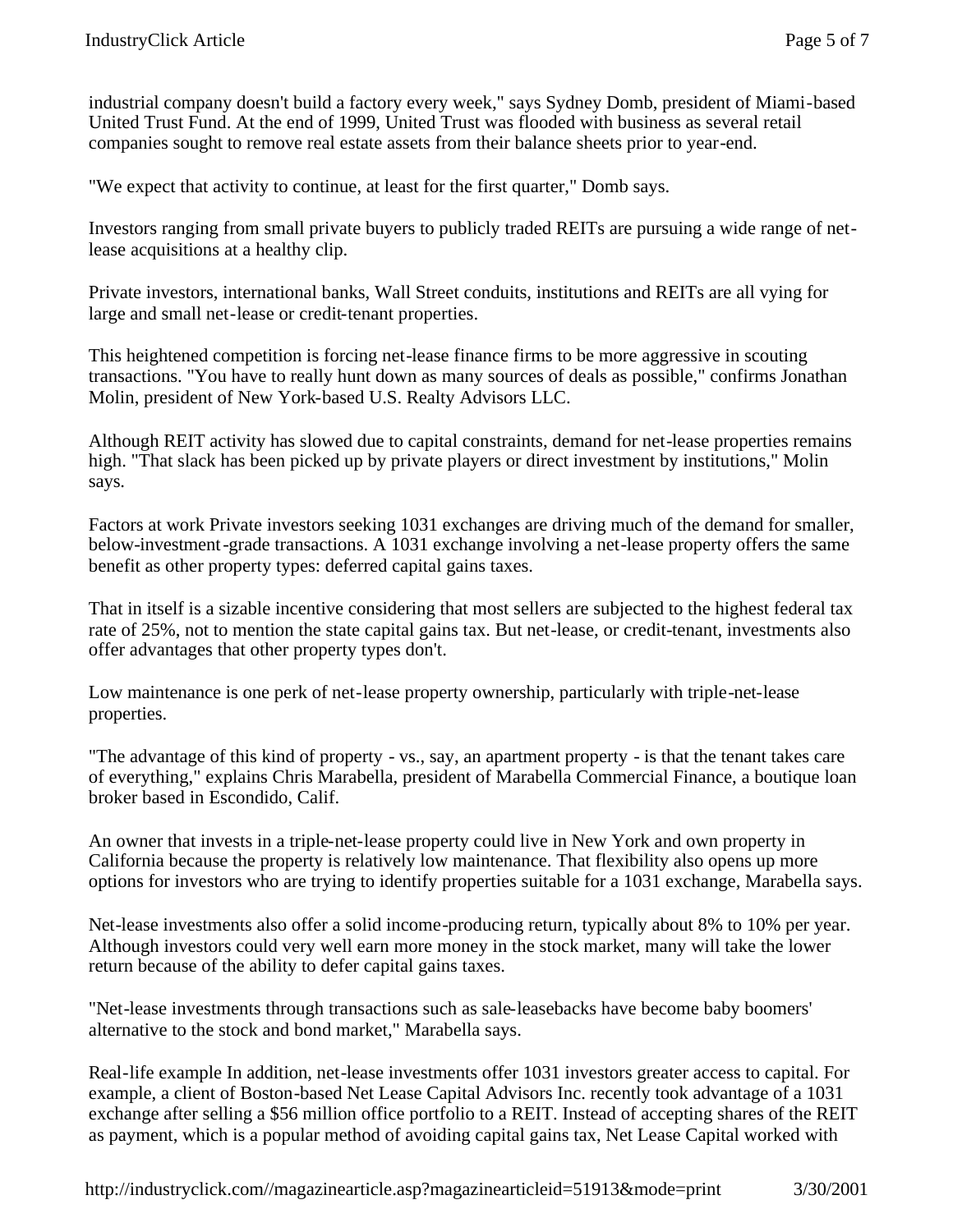industrial company doesn't build a factory every week," says Sydney Domb, president of Miami-based United Trust Fund. At the end of 1999, United Trust was flooded with business as several retail companies sought to remove real estate assets from their balance sheets prior to year-end.

"We expect that activity to continue, at least for the first quarter," Domb says.

Investors ranging from small private buyers to publicly traded REITs are pursuing a wide range of netlease acquisitions at a healthy clip.

Private investors, international banks, Wall Street conduits, institutions and REITs are all vying for large and small net-lease or credit-tenant properties.

This heightened competition is forcing net-lease finance firms to be more aggressive in scouting transactions. "You have to really hunt down as many sources of deals as possible," confirms Jonathan Molin, president of New York-based U.S. Realty Advisors LLC.

Although REIT activity has slowed due to capital constraints, demand for net-lease properties remains high. "That slack has been picked up by private players or direct investment by institutions," Molin says.

Factors at work Private investors seeking 1031 exchanges are driving much of the demand for smaller, below-investment-grade transactions. A 1031 exchange involving a net-lease property offers the same benefit as other property types: deferred capital gains taxes.

That in itself is a sizable incentive considering that most sellers are subjected to the highest federal tax rate of 25%, not to mention the state capital gains tax. But net-lease, or credit-tenant, investments also offer advantages that other property types don't.

Low maintenance is one perk of net-lease property ownership, particularly with triple-net-lease properties.

"The advantage of this kind of property - vs., say, an apartment property - is that the tenant takes care of everything," explains Chris Marabella, president of Marabella Commercial Finance, a boutique loan broker based in Escondido, Calif.

An owner that invests in a triple-net-lease property could live in New York and own property in California because the property is relatively low maintenance. That flexibility also opens up more options for investors who are trying to identify properties suitable for a 1031 exchange, Marabella says.

Net-lease investments also offer a solid income-producing return, typically about 8% to 10% per year. Although investors could very well earn more money in the stock market, many will take the lower return because of the ability to defer capital gains taxes.

"Net-lease investments through transactions such as sale-leasebacks have become baby boomers' alternative to the stock and bond market," Marabella says.

Real-life example In addition, net-lease investments offer 1031 investors greater access to capital. For example, a client of Boston-based Net Lease Capital Advisors Inc. recently took advantage of a 1031 exchange after selling a \$56 million office portfolio to a REIT. Instead of accepting shares of the REIT as payment, which is a popular method of avoiding capital gains tax, Net Lease Capital worked with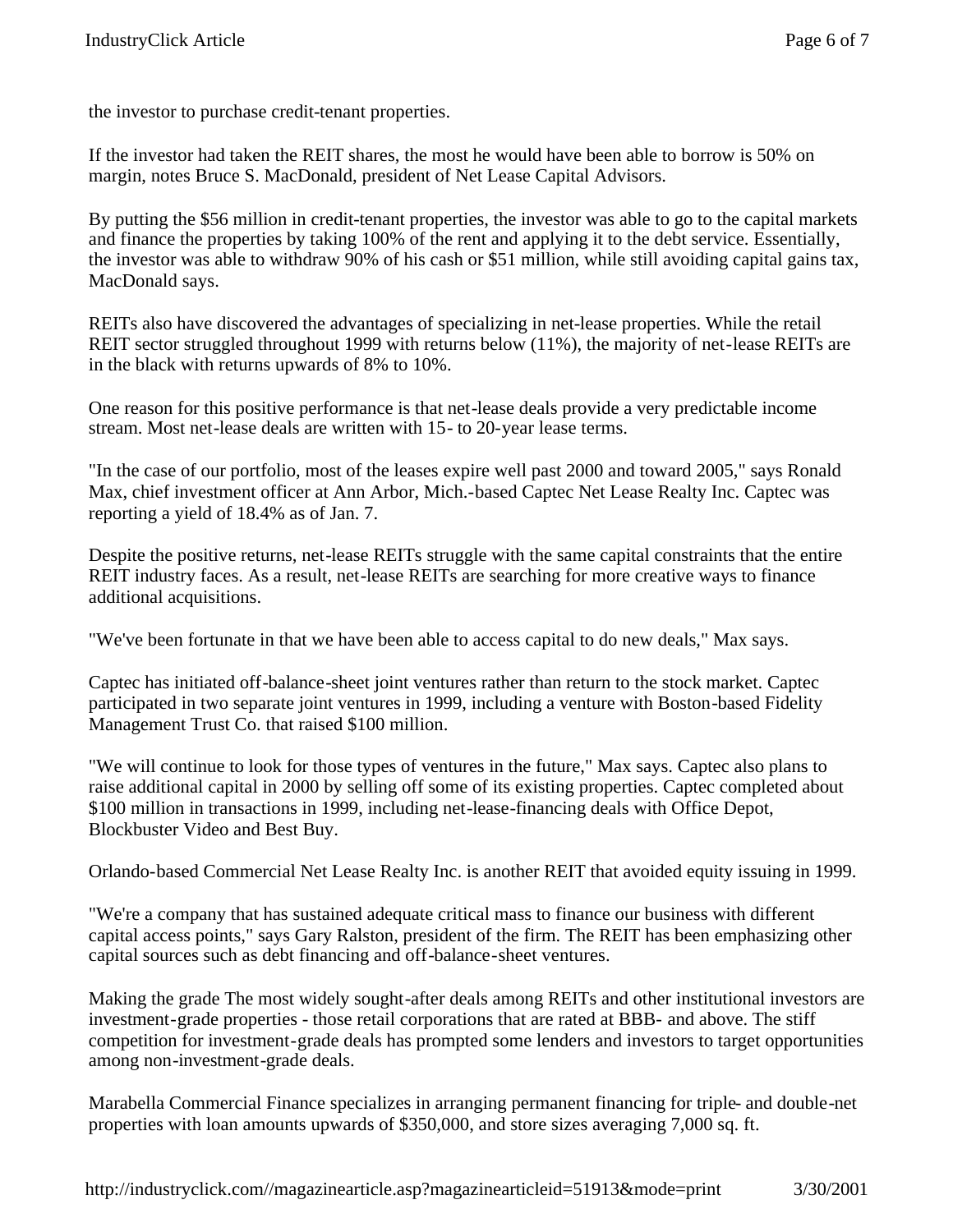the investor to purchase credit-tenant properties.

If the investor had taken the REIT shares, the most he would have been able to borrow is 50% on margin, notes Bruce S. MacDonald, president of Net Lease Capital Advisors.

By putting the \$56 million in credit-tenant properties, the investor was able to go to the capital markets and finance the properties by taking 100% of the rent and applying it to the debt service. Essentially, the investor was able to withdraw 90% of his cash or \$51 million, while still avoiding capital gains tax, MacDonald says.

REITs also have discovered the advantages of specializing in net-lease properties. While the retail REIT sector struggled throughout 1999 with returns below (11%), the majority of net-lease REITs are in the black with returns upwards of 8% to 10%.

One reason for this positive performance is that net-lease deals provide a very predictable income stream. Most net-lease deals are written with 15- to 20-year lease terms.

"In the case of our portfolio, most of the leases expire well past 2000 and toward 2005," says Ronald Max, chief investment officer at Ann Arbor, Mich.-based Captec Net Lease Realty Inc. Captec was reporting a yield of 18.4% as of Jan. 7.

Despite the positive returns, net-lease REITs struggle with the same capital constraints that the entire REIT industry faces. As a result, net-lease REITs are searching for more creative ways to finance additional acquisitions.

"We've been fortunate in that we have been able to access capital to do new deals," Max says.

Captec has initiated off-balance-sheet joint ventures rather than return to the stock market. Captec participated in two separate joint ventures in 1999, including a venture with Boston-based Fidelity Management Trust Co. that raised \$100 million.

"We will continue to look for those types of ventures in the future," Max says. Captec also plans to raise additional capital in 2000 by selling off some of its existing properties. Captec completed about \$100 million in transactions in 1999, including net-lease-financing deals with Office Depot, Blockbuster Video and Best Buy.

Orlando-based Commercial Net Lease Realty Inc. is another REIT that avoided equity issuing in 1999.

"We're a company that has sustained adequate critical mass to finance our business with different capital access points," says Gary Ralston, president of the firm. The REIT has been emphasizing other capital sources such as debt financing and off-balance-sheet ventures.

Making the grade The most widely sought-after deals among REITs and other institutional investors are investment-grade properties - those retail corporations that are rated at BBB- and above. The stiff competition for investment-grade deals has prompted some lenders and investors to target opportunities among non-investment-grade deals.

Marabella Commercial Finance specializes in arranging permanent financing for triple- and double-net properties with loan amounts upwards of \$350,000, and store sizes averaging 7,000 sq. ft.